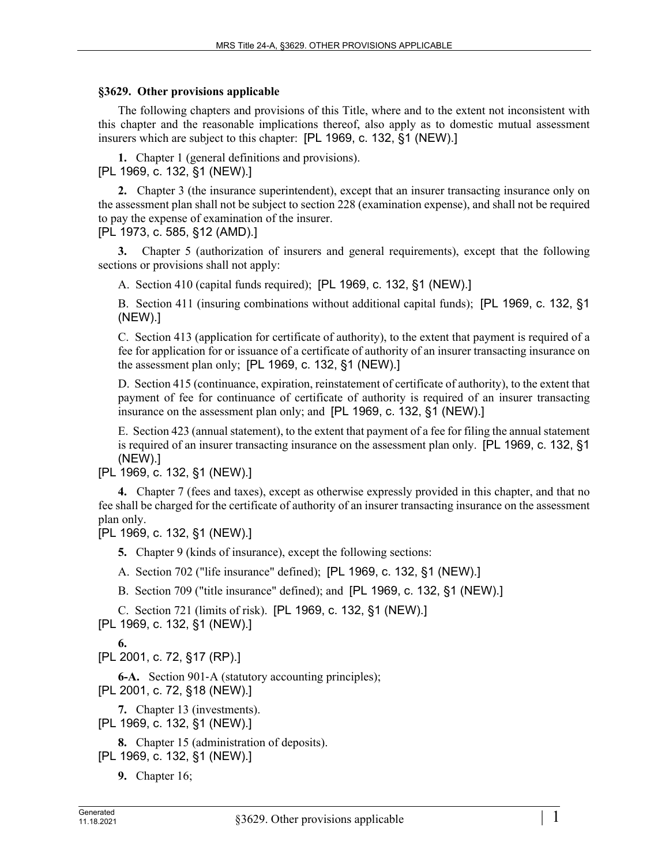## **§3629. Other provisions applicable**

The following chapters and provisions of this Title, where and to the extent not inconsistent with this chapter and the reasonable implications thereof, also apply as to domestic mutual assessment insurers which are subject to this chapter: [PL 1969, c. 132, §1 (NEW).]

**1.** Chapter 1 (general definitions and provisions). [PL 1969, c. 132, §1 (NEW).]

**2.** Chapter 3 (the insurance superintendent), except that an insurer transacting insurance only on the assessment plan shall not be subject to section 228 (examination expense), and shall not be required to pay the expense of examination of the insurer.

[PL 1973, c. 585, §12 (AMD).]

**3.** Chapter 5 (authorization of insurers and general requirements), except that the following sections or provisions shall not apply:

A. Section 410 (capital funds required); [PL 1969, c. 132, §1 (NEW).]

B. Section 411 (insuring combinations without additional capital funds); [PL 1969, c. 132, §1 (NEW).]

C. Section 413 (application for certificate of authority), to the extent that payment is required of a fee for application for or issuance of a certificate of authority of an insurer transacting insurance on the assessment plan only; [PL 1969, c. 132, §1 (NEW).]

D. Section 415 (continuance, expiration, reinstatement of certificate of authority), to the extent that payment of fee for continuance of certificate of authority is required of an insurer transacting insurance on the assessment plan only; and [PL 1969, c. 132, §1 (NEW).]

E. Section 423 (annual statement), to the extent that payment of a fee for filing the annual statement is required of an insurer transacting insurance on the assessment plan only. [PL 1969, c. 132, §1 (NEW).]

[PL 1969, c. 132, §1 (NEW).]

**4.** Chapter 7 (fees and taxes), except as otherwise expressly provided in this chapter, and that no fee shall be charged for the certificate of authority of an insurer transacting insurance on the assessment plan only.

[PL 1969, c. 132, §1 (NEW).]

**5.** Chapter 9 (kinds of insurance), except the following sections:

A. Section 702 ("life insurance" defined); [PL 1969, c. 132, §1 (NEW).]

B. Section 709 ("title insurance" defined); and [PL 1969, c. 132, §1 (NEW).]

C. Section 721 (limits of risk). [PL 1969, c. 132, §1 (NEW).]

[PL 1969, c. 132, §1 (NEW).]

**6.** 

[PL 2001, c. 72, §17 (RP).]

**6-A.** Section 901‑A (statutory accounting principles); [PL 2001, c. 72, §18 (NEW).]

**7.** Chapter 13 (investments).

[PL 1969, c. 132, §1 (NEW).]

**8.** Chapter 15 (administration of deposits). [PL 1969, c. 132, §1 (NEW).]

**9.** Chapter 16;